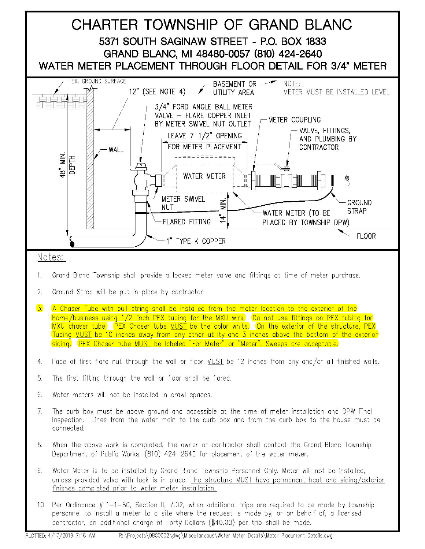

- 1. Grand Blanc Township shall provide a locked meter valve and fittings at time of meter purchase.
- 2. Ground Strap will be put in place by contractor.
- 3. A Chaser Tube with pull string shall be installed from the meter location to the exterior of the home/business using 1/2-inch PEX tubing for the MXU wire. Do not use fittings on PEX tubing for MXU chaser tube. PEX Chaser tube MUST be the color white. On the exterior of the structure, PEX Tubing MUST be 10 inches away from any other utility and 3 inches above the bottom of the exterior siding. PEX Chaser tube MUST be labeled "For Meter" or "Meter". Sweeps are acceptable.
- 4. Face of first flare nut through the wall or floor MUST be 12 inches from any and/or all finished walls.
- 5. The first fitting through the wall or floor shall be flared.
- 6. Water meters will not be installed in crawl spaces.
- 7. The curb box must be above ground and accessible at the time of meter installation and DPW Final Inspection. Lines from the water main to the curb box and from the curb box to the house must be connected.
- 8. When the above work is completed, the owner or contractor shall contact the Grand Blanc Township Department of Public Works, (810) 424-2640 for placement of the water meter.
- 9. Water Meter is to be installed by Grand Blanc Township Personnel Only. Meter will not be installed, unless provided valve with lock is in place. The structure MUST hove permanent heat and siding/exterior finishes completed prior to water meter installation.
- 10. Per Ordinance  $# 1-1-80$ , Section II, 7.02, when additional trips are required to be made by township personnel to install a meter to a site where the request is made by, or on behalf of, a licensed contractor, an additional charge of Forty Dollars (\$40.00) per trip shall be made.